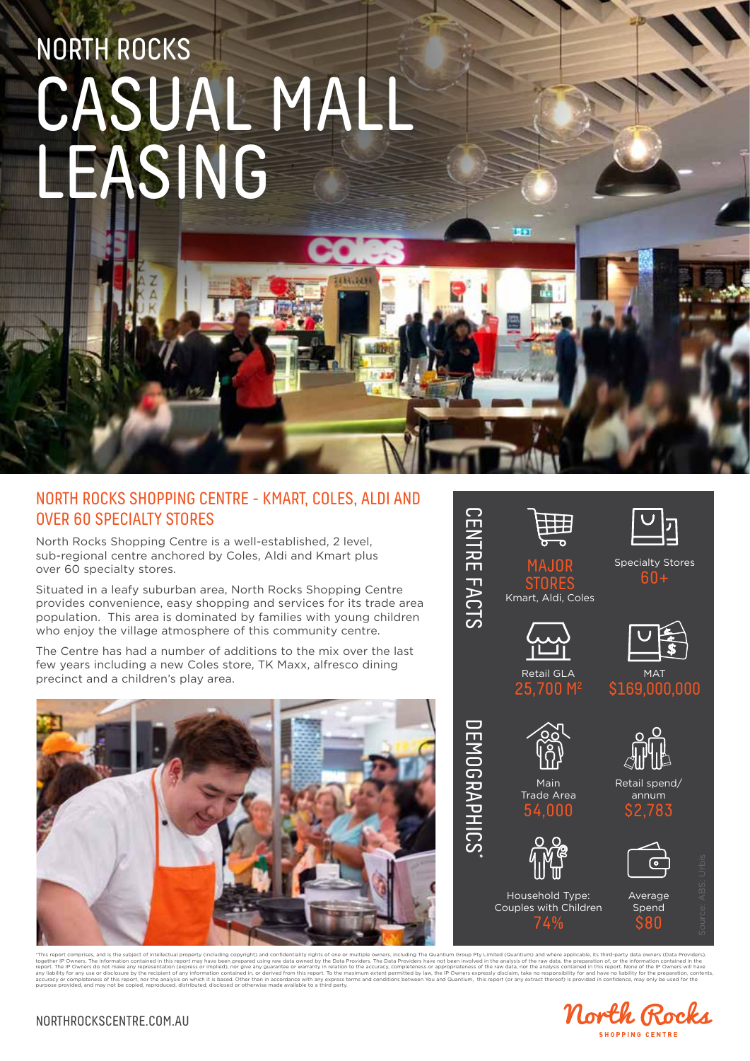# NORTH ROCKS CASUAL MALL LEASING

#### NORTH ROCKS SHOPPING CENTRE - KMART, COLES, ALDI AND OVER 60 SPECIALTY STORES

North Rocks Shopping Centre is a well-established, 2 level, sub-regional centre anchored by Coles, Aldi and Kmart plus over 60 specialty stores.

Situated in a leafy suburban area, North Rocks Shopping Centre provides convenience, easy shopping and services for its trade area population. This area is dominated by families with young children who enjoy the village atmosphere of this community centre.

The Centre has had a number of additions to the mix over the last few years including a new Coles store, TK Maxx, alfresco dining precinct and a children's play area.





.<br>This report comprises, and is the subject of intellectual property (including copyright) and confidentiality rights of one or multiple owners, including The Quantium Group Pty Limited (Quantium) and where applicable, its together IP Owners. The information contained in this report may have been mepaped using raw data owned by the Davance Schenkers are not been involved in the analysis of the raw data, the respacts on the preparation ocntai